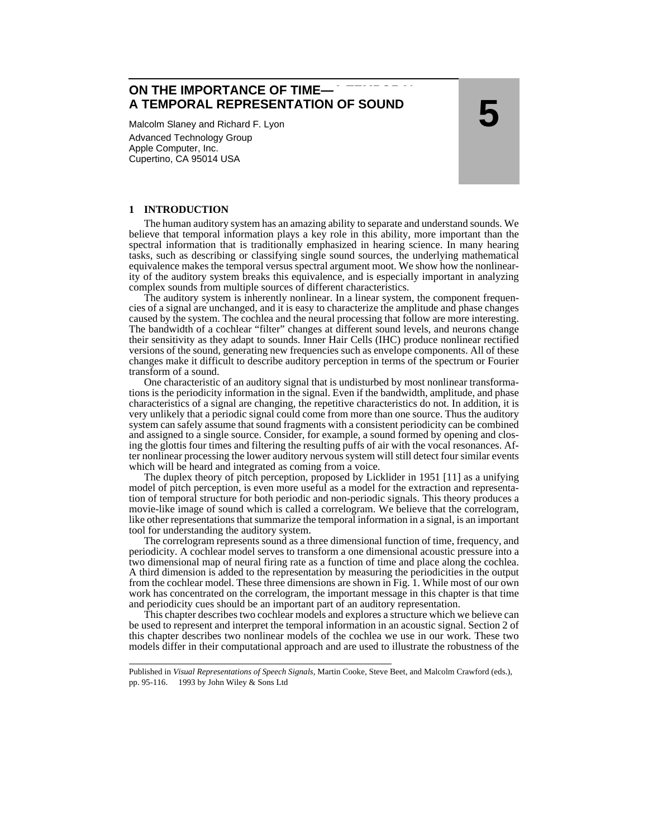**ON THE IMPORTANCE OF TIME—A TEMPORAL TIME— REPRESENTATON OF SOUND A TEMPORAL REPRESENTATION OF SOUND**

Malcolm Slaney and Richard F. Lyon Advanced Technology Group Apple Computer, Inc. Cupertino, CA 95014 USA

**5**

# **1 INTRODUCTION**

The human auditory system has an amazing ability to separate and understand sounds. We believe that temporal information plays a key role in this ability, more important than the spectral information that is traditionally emphasized in hearing science. In many hearing tasks, such as describing or classifying single sound sources, the underlying mathematical equivalence makes the temporal versus spectral argument moot. We show how the nonlinearity of the auditory system breaks this equivalence, and is especially important in analyzing complex sounds from multiple sources of different characteristics.

The auditory system is inherently nonlinear. In a linear system, the component frequencies of a signal are unchanged, and it is easy to characterize the amplitude and phase changes caused by the system. The cochlea and the neural processing that follow are more interesting. The bandwidth of a cochlear "filter" changes at different sound levels, and neurons change their sensitivity as they adapt to sounds. Inner Hair Cells (IHC) produce nonlinear rectified versions of the sound, generating new frequencies such as envelope components. All of these changes make it difficult to describe auditory perception in terms of the spectrum or Fourier transform of a sound.

One characteristic of an auditory signal that is undisturbed by most nonlinear transformations is the periodicity information in the signal. Even if the bandwidth, amplitude, and phase characteristics of a signal are changing, the repetitive characteristics do not. In addition, it is very unlikely that a periodic signal could come from more than one source. Thus the auditory system can safely assume that sound fragments with a consistent periodicity can be combined and assigned to a single source. Consider, for example, a sound formed by opening and closing the glottis four times and filtering the resulting puffs of air with the vocal resonances. After nonlinear processing the lower auditory nervous system will still detect four similar events which will be heard and integrated as coming from a voice.

The duplex theory of pitch perception, proposed by Licklider in 1951 [\[11\]](#page-20-0) as a unifying model of pitch perception, is even more useful as a model for the extraction and representation of temporal structure for both periodic and non-periodic signals. This theory produces a movie-like image of sound which is called a correlogram. We believe that the correlogram, like other representations that summarize the temporal information in a signal, is an important tool for understanding the auditory system.

The correlogram represents sound as a three dimensional function of time, frequency, and periodicity. A cochlear model serves to transform a one dimensional acoustic pressure into a two dimensional map of neural firing rate as a function of time and place along the cochlea. A third dimension is added to the representation by measuring the periodicities in the output from the cochlear model. These three dimensions are shown in [Fig. 1.](#page-1-0) While most of our own work has concentrated on the correlogram, the important message in this chapter is that time and periodicity cues should be an important part of an auditory representation.

This chapter describes two cochlear models and explores a structure which we believe can be used to represent and interpret the temporal information in an acoustic signal. Section 2 of this chapter describes two nonlinear models of the cochlea we use in our work. These two models differ in their computational approach and are used to illustrate the robustness of the

Published in *Visual Representations of Speech Signals*, Martin Cooke, Steve Beet, and Malcolm Crawford (eds.), pp. 95-116. 1993 by John Wiley & Sons Ltd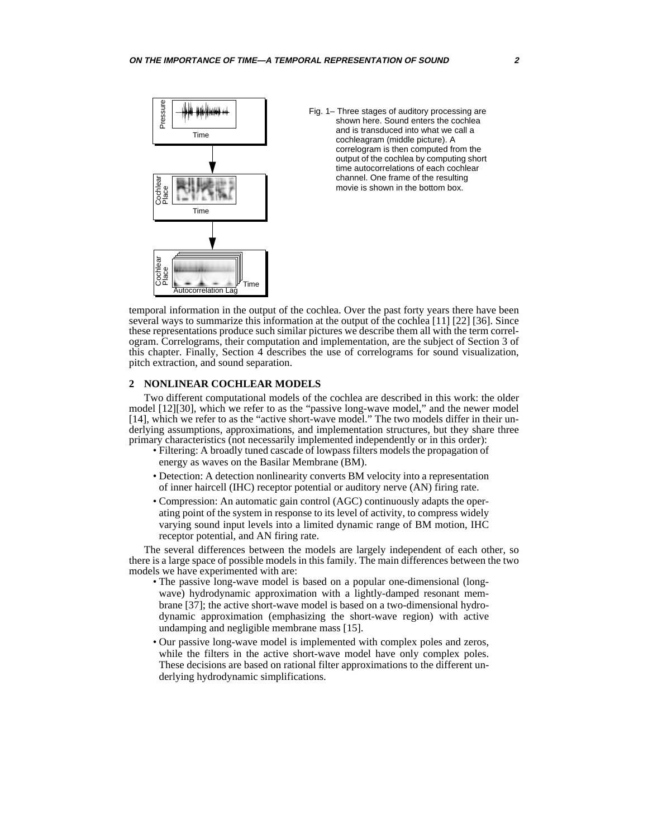<span id="page-1-0"></span>

Fig. 1– Three stages of auditory processing are shown here. Sound enters the cochlea and is transduced into what we call a cochleagram (middle picture). A correlogram is then computed from the output of the cochlea by computing short time autocorrelations of each cochlear channel. One frame of the resulting movie is shown in the bottom box.

temporal information in the output of the cochlea. Over the past forty years there have been several ways to summarize this information at the output of the cochlea [\[11\]](#page-20-0) [\[22\]](#page-20-0) [\[36\]](#page-21-0). Since these representations produce such similar pictures we describe them all with the term correlogram. Correlograms, their computation and implementation, are the subject of Section 3 of this chapter. Finally, Section 4 describes the use of correlograms for sound visualization, pitch extraction, and sound separation.

# **2 NONLINEAR COCHLEAR MODELS**

Two different computational models of the cochlea are described in this work: the older model [\[12\]](#page-20-0)[\[30\]](#page-21-0), which we refer to as the "passive long-wave model," and the newer model [\[14\],](#page-20-0) which we refer to as the "active short-wave model." The two models differ in their underlying assumptions, approximations, and implementation structures, but they share three primary characteristics (not necessarily implemented independently or in this order):

- Filtering: A broadly tuned cascade of lowpass filters models the propagation of energy as waves on the Basilar Membrane (BM).
- Detection: A detection nonlinearity converts BM velocity into a representation of inner haircell (IHC) receptor potential or auditory nerve (AN) firing rate.
- Compression: An automatic gain control (AGC) continuously adapts the operating point of the system in response to its level of activity, to compress widely varying sound input levels into a limited dynamic range of BM motion, IHC receptor potential, and AN firing rate.

The several differences between the models are largely independent of each other, so there is a large space of possible models in this family. The main differences between the two models we have experimented with are:

- The passive long-wave model is based on a popular one-dimensional (longwave) hydrodynamic approximation with a lightly-damped resonant membrane [\[37\];](#page-21-0) the active short-wave model is based on a two-dimensional hydrodynamic approximation (emphasizing the short-wave region) with active undamping and negligible membrane mass [\[15\]](#page-20-0).
- Our passive long-wave model is implemented with complex poles and zeros, while the filters in the active short-wave model have only complex poles. These decisions are based on rational filter approximations to the different underlying hydrodynamic simplifications.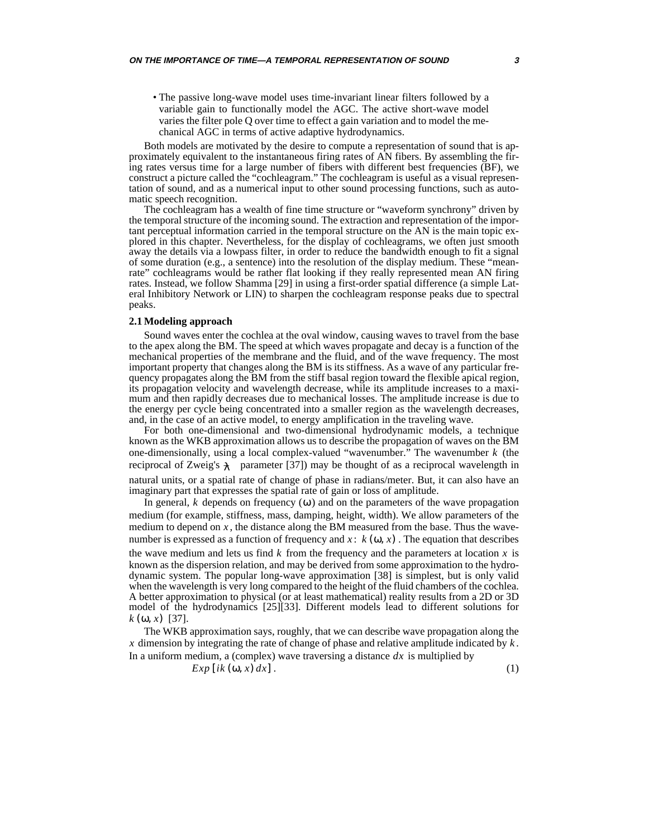• The passive long-wave model uses time-invariant linear filters followed by a variable gain to functionally model the AGC. The active short-wave model varies the filter pole Q over time to effect a gain variation and to model the mechanical AGC in terms of active adaptive hydrodynamics.

Both models are motivated by the desire to compute a representation of sound that is approximately equivalent to the instantaneous firing rates of AN fibers. By assembling the firing rates versus time for a large number of fibers with different best frequencies (BF), we construct a picture called the "cochleagram." The cochleagram is useful as a visual representation of sound, and as a numerical input to other sound processing functions, such as automatic speech recognition.

The cochleagram has a wealth of fine time structure or "waveform synchrony" driven by the temporal structure of the incoming sound. The extraction and representation of the important perceptual information carried in the temporal structure on the AN is the main topic explored in this chapter. Nevertheless, for the display of cochleagrams, we often just smooth away the details via a lowpass filter, in order to reduce the bandwidth enough to fit a signal of some duration (e.g., a sentence) into the resolution of the display medium. These "meanrate" cochleagrams would be rather flat looking if they really represented mean AN firing rates. Instead, we follow Shamma [\[29\]](#page-21-0) in using a first-order spatial difference (a simple Lateral Inhibitory Network or LIN) to sharpen the cochleagram response peaks due to spectral peaks.

## **2.1 Modeling approach**

Sound waves enter the cochlea at the oval window, causing waves to travel from the base to the apex along the BM. The speed at which waves propagate and decay is a function of the mechanical properties of the membrane and the fluid, and of the wave frequency. The most important property that changes along the BM is its stiffness. As a wave of any particular frequency propagates along the BM from the stiff basal region toward the flexible apical region, its propagation velocity and wavelength decrease, while its amplitude increases to a maximum and then rapidly decreases due to mechanical losses. The amplitude increase is due to the energy per cycle being concentrated into a smaller region as the wavelength decreases, and, in the case of an active model, to energy amplification in the traveling wave.

For both one-dimensional and two-dimensional hydrodynamic models, a technique known as the WKB approximation allows us to describe the propagation of waves on the BM one-dimensionally, using a local complex-valued "wavenumber." The wavenumber  $k$  (the reciprocal of Zweig's  $\lambda$  parameter [\[37\]](#page-21-0)) may be thought of as a reciprocal wavelength in natural units, or a spatial rate of change of phase in radians/meter. But, it can also have an imaginary part that expresses the spatial rate of gain or loss of amplitude.

In general,  $k$  depends on frequency  $(\omega)$  and on the parameters of the wave propagation medium (for example, stiffness, mass, damping, height, width). We allow parameters of the medium to depend on  $x$ , the distance along the BM measured from the base. Thus the wavenumber is expressed as a function of frequency and  $x$ :  $k(\omega, x)$ . The equation that describes the wave medium and lets us find  $k$  from the frequency and the parameters at location  $x$  is known as the dispersion relation, and may be derived from some approximation to the hydrodynamic system. The popular long-wave approximation [\[38\]](#page-21-0) is simplest, but is only valid when the wavelength is very long compared to the height of the fluid chambers of the cochlea. A better approximation to physical (or at least mathematical) reality results from a 2D or 3D model of the hydrodynamics [\[25\]\[33\].](#page-21-0) Different models lead to different solutions for  $k(\omega, x)$  [\[37\].](#page-21-0)

The WKB approximation says, roughly, that we can describe wave propagation along the  $x$  dimension by integrating the rate of change of phase and relative amplitude indicated by  $k$ . In a uniform medium, a (complex) wave traversing a distance  $dx$  is multiplied by

 $Exp[i k (\omega, x) dx].$  (1)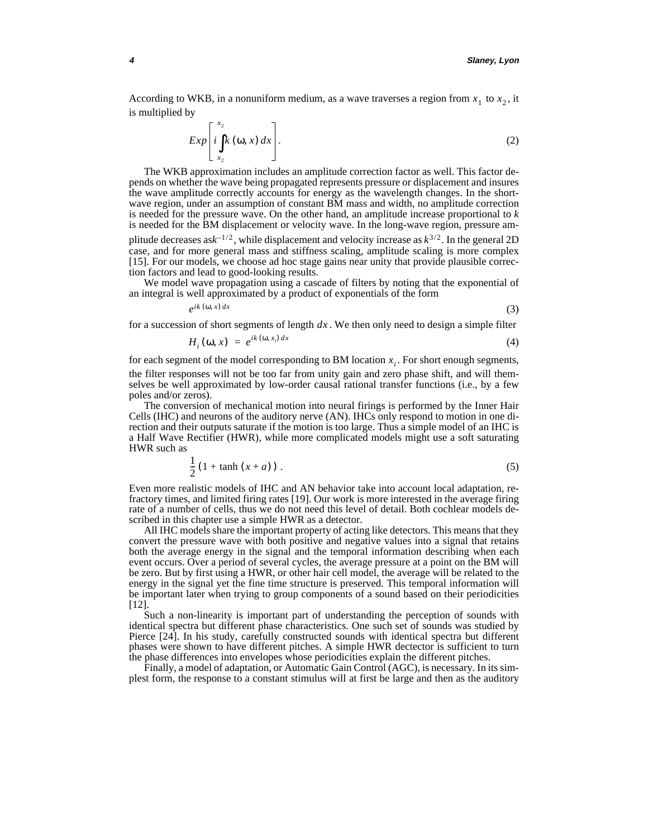According to WKB, in a nonuniform medium, as a wave traverses a region from  $x_1$  to  $x_2$ , it is multiplied by

$$
Exp\left[i\int_{x_2}^{x_2} k(\omega, x) dx\right].
$$
 (2)

The WKB approximation includes an amplitude correction factor as well. This factor depends on whether the wave being propagated represents pressure or displacement and insures the wave amplitude correctly accounts for energy as the wavelength changes. In the shortwave region, under an assumption of constant BM mass and width, no amplitude correction is needed for the pressure wave. On the other hand, an amplitude increase proportional to *k* is needed for the BM displacement or velocity wave. In the long-wave region, pressure amplitude decreases as $k^{-1/2}$ , while displacement and velocity increase as  $k^{3/2}$ . In the general 2D case, and for more general mass and stiffness scaling, amplitude scaling is more complex [\[15\].](#page-20-0) For our models, we choose ad hoc stage gains near unity that provide plausible correction factors and lead to good-looking results.

We model wave propagation using a cascade of filters by noting that the exponential of an integral is well approximated by a product of exponentials of the form

$$
e^{ik(\omega, x) dx}
$$
 (3)

for a succession of short segments of length  $dx$ . We then only need to design a simple filter

$$
H_i(\mathbf{w}, x) = e^{ik(\mathbf{w}, x_i) dx} \tag{4}
$$

for each segment of the model corresponding to BM location  $x_i$ . For short enough segments, the filter responses will not be too far from unity gain and zero phase shift, and will themselves be well approximated by low-order causal rational transfer functions (i.e., by a few poles and/or zeros).

The conversion of mechanical motion into neural firings is performed by the Inner Hair Cells (IHC) and neurons of the auditory nerve (AN). IHCs only respond to motion in one direction and their outputs saturate if the motion is too large. Thus a simple model of an IHC is a Half Wave Rectifier (HWR), while more complicated models might use a soft saturating HWR such as

$$
\frac{1}{2}\left(1+\tanh\left(x+a\right)\right). \tag{5}
$$

Even more realistic models of IHC and AN behavior take into account local adaptation, refractory times, and limited firing rates [\[19\].](#page-20-0) Our work is more interested in the average firing rate of a number of cells, thus we do not need this level of detail. Both cochlear models described in this chapter use a simple HWR as a detector.

All IHC models share the important property of acting like detectors. This means that they convert the pressure wave with both positive and negative values into a signal that retains both the average energy in the signal and the temporal information describing when each event occurs. Over a period of several cycles, the average pressure at a point on the BM will be zero. But by first using a HWR, or other hair cell model, the average will be related to the energy in the signal yet the fine time structure is preserved. This temporal information will be important later when trying to group components of a sound based on their periodicities [\[12\].](#page-20-0)

Such a non-linearity is important part of understanding the perception of sounds with identical spectra but different phase characteristics. One such set of sounds was studied by Pierce [\[24\]](#page-21-0). In his study, carefully constructed sounds with identical spectra but different phases were shown to have different pitches. A simple HWR dectector is sufficient to turn the phase differences into envelopes whose periodicities explain the different pitches.

Finally, a model of adaptation, or Automatic Gain Control (AGC), is necessary. In its simplest form, the response to a constant stimulus will at first be large and then as the auditory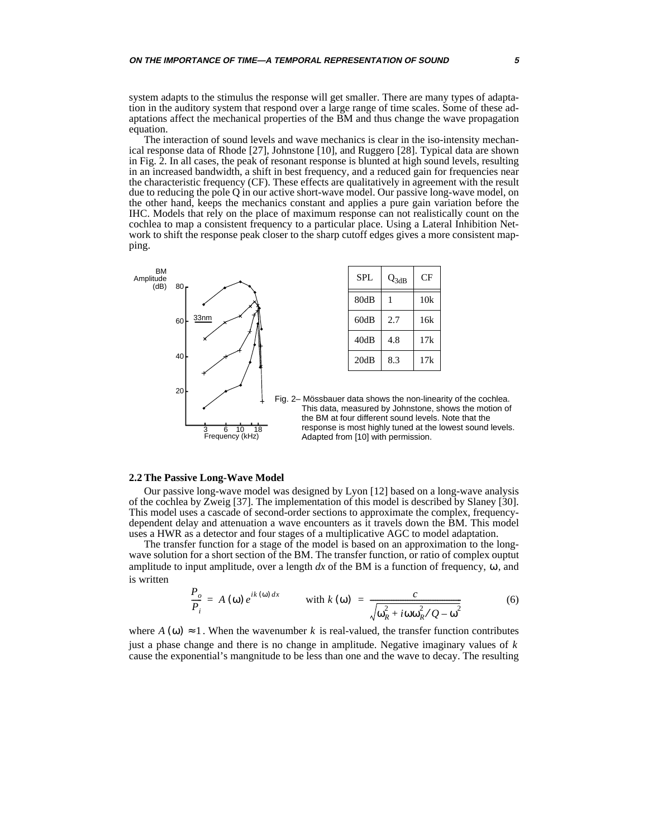<span id="page-4-0"></span>system adapts to the stimulus the response will get smaller. There are many types of adaptation in the auditory system that respond over a large range of time scales. Some of these adaptations affect the mechanical properties of the BM and thus change the wave propagation equation.

The interaction of sound levels and wave mechanics is clear in the iso-intensity mechanical response data of Rhode [\[27\]](#page-21-0), Johnstone [\[10\]](#page-20-0), and Ruggero [\[28\]](#page-21-0). Typical data are shown in Fig. 2. In all cases, the peak of resonant response is blunted at high sound levels, resulting in an increased bandwidth, a shift in best frequency, and a reduced gain for frequencies near the characteristic frequency (CF). These effects are qualitatively in agreement with the result due to reducing the pole Q in our active short-wave model. Our passive long-wave model, on the other hand, keeps the mechanics constant and applies a pure gain variation before the IHC. Models that rely on the place of maximum response can not realistically count on the cochlea to map a consistent frequency to a particular place. Using a Lateral Inhibition Network to shift the response peak closer to the sharp cutoff edges gives a more consistent mapping.



| SPL. | $Q_{3dB}$ | CF  |
|------|-----------|-----|
| 80dB |           | 10k |
| 60dB | 2.7       | 16k |
| 40dB | 4.8       | 17k |
| 20dB | 8.3       | 17k |

Fig. 2– Mössbauer data shows the non-linearity of the cochlea. This data, measured by Johnstone, shows the motion of the BM at four different sound levels. Note that the response is most highly tuned at the lowest sound levels. Adapted from [\[10\]](#page-20-0) with permission.

## **2.2 The Passive Long-Wave Model**

Our passive long-wave model was designed by Lyon [\[12\]](#page-20-0) based on a long-wave analysis of the cochlea by Zweig [\[37\].](#page-21-0) The implementation of this model is described by Slaney [\[30\].](#page-21-0) This model uses a cascade of second-order sections to approximate the complex, frequencydependent delay and attenuation a wave encounters as it travels down the BM. This model uses a HWR as a detector and four stages of a multiplicative AGC to model adaptation.

The transfer function for a stage of the model is based on an approximation to the longwave solution for a short section of the BM. The transfer function, or ratio of complex ouptut amplitude to input amplitude, over a length  $dx$  of the BM is a function of frequency,  $\omega$ , and is written

$$
\frac{P_o}{P_i} = A(\omega) e^{ik(\omega) dx} \qquad \text{with } k(\omega) = \frac{c}{\sqrt{\omega_R^2 + i\omega \omega_R^2 / Q - \omega^2}}
$$
(6)

where  $A(\omega) \approx 1$ . When the wavenumber k is real-valued, the transfer function contributes just a phase change and there is no change in amplitude. Negative imaginary values of *k*cause the exponential's mangnitude to be less than one and the wave to decay. The resulting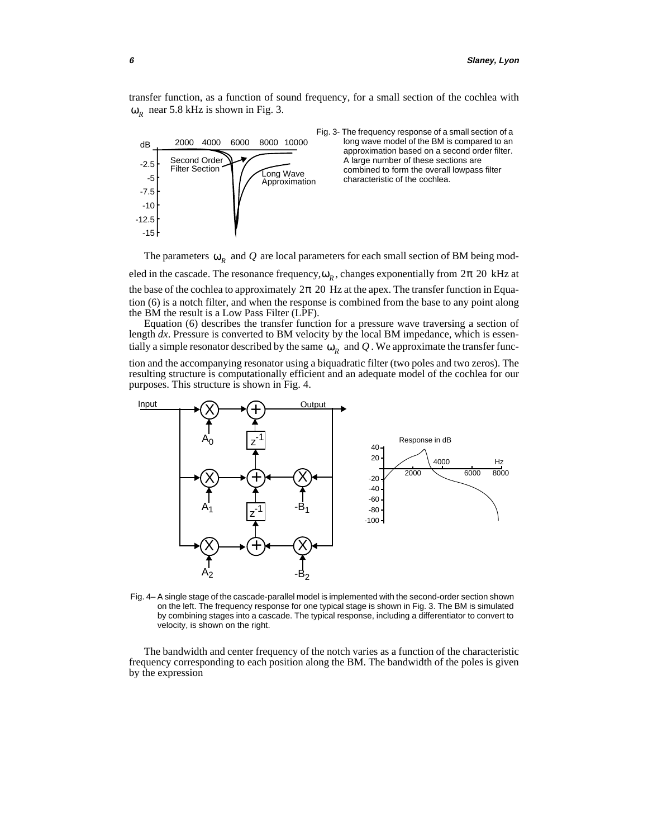<span id="page-5-0"></span>transfer function, as a function of sound frequency, for a small section of the cochlea with  $\omega_R$  near 5.8 kHz is shown in Fig. 3.



Fig. 3- The frequency response of a small section of a long wave model of the BM is compared to an approximation based on a second order filter. A large number of these sections are combined to form the overall lowpass filter Long Wave compined to form the overall<br>Approximation characteristic of the cochlea.

The parameters  $\omega_R$  and Q are local parameters for each small section of BM being modeled in the cascade. The resonance frequency,  $ω<sub>R</sub>$ , changes exponentially from 2π 20 kHz at the base of the cochlea to approximately  $2\pi$  20 Hz at the apex. The transfer function in Equation [\(6\)](#page-4-0) is a notch filter, and when the response is combined from the base to any point along the BM the result is a Low Pass Filter (LPF).

Equation [\(6\)](#page-4-0) describes the transfer function for a pressure wave traversing a section of length *dx*. Pressure is converted to BM velocity by the local BM impedance, which is essentially a simple resonator described by the same  $\omega_R$  and  $Q$  . We approximate the transfer func-

tion and the accompanying resonator using a biquadratic filter (two poles and two zeros). The resulting structure is computationally efficient and an adequate model of the cochlea for our purposes. This structure is shown in Fig. 4.



Fig. 4– A single stage of the cascade-parallel model is implemented with the second-order section shown on the left. The frequency response for one typical stage is shown in Fig. 3. The BM is simulated by combining stages into a cascade. The typical response, including a differentiator to convert to velocity, is shown on the right.

The bandwidth and center frequency of the notch varies as a function of the characteristic frequency corresponding to each position along the BM. The bandwidth of the poles is given by the expression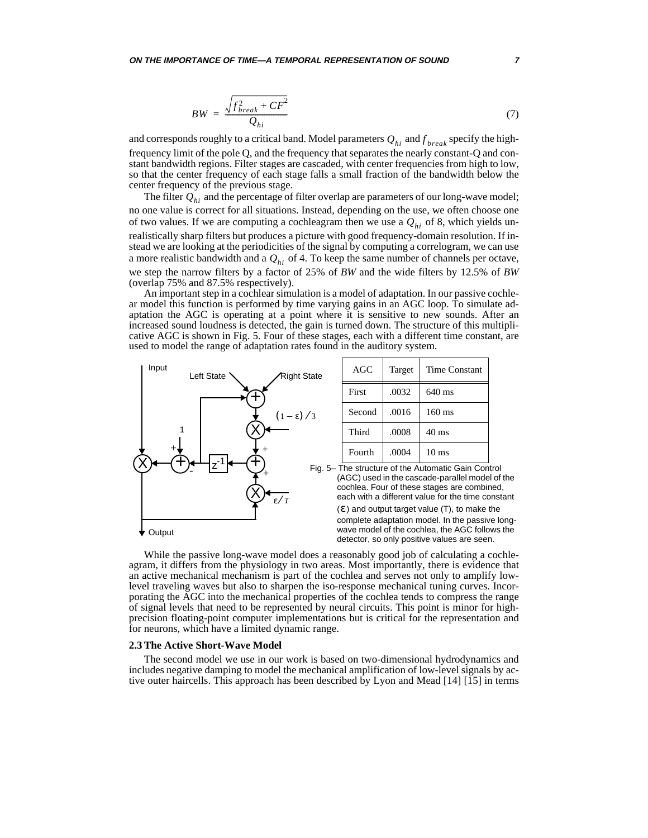$$
BW = \frac{\sqrt{f_{break}^2 + CF^2}}{Q_{hi}} \tag{7}
$$

and corresponds roughly to a critical band. Model parameters  $Q_{hi}$  and  $f_{\it break}$  specify the highfrequency limit of the pole Q, and the frequency that separates the nearly constant-Q and constant bandwidth regions. Filter stages are cascaded, with center frequencies from high to low, so that the center frequency of each stage falls a small fraction of the bandwidth below the center frequency of the previous stage.

The filter  $\mathcal{Q}_{hi}$  and the percentage of filter overlap are parameters of our long-wave model; no one value is correct for all situations. Instead, depending on the use, we often choose one of two values. If we are computing a cochleagram then we use a  $Q_{hi}$  of 8, which yields unrealistically sharp filters but produces a picture with good frequency-domain resolution. If instead we are looking at the periodicities of the signal by computing a correlogram, we can use a more realistic bandwidth and a  $Q_{hi}$  of 4. To keep the same number of channels per octave, we step the narrow filters by a factor of 25% of *BW* and the wide filters by 12.5% of *BW* (overlap 75% and 87.5% respectively).

An important step in a cochlear simulation is a model of adaptation. In our passive cochlear model this function is performed by time varying gains in an AGC loop. To simulate adaptation the AGC is operating at a point where it is sensitive to new sounds. After an increased sound loudness is detected, the gain is turned down. The structure of this multiplicative AGC is shown in Fig. 5. Four of these stages, each with a different time constant, are used to model the range of adaptation rates found in the auditory system.



While the passive long-wave model does a reasonably good job of calculating a cochleagram, it differs from the physiology in two areas. Most importantly, there is evidence that an active mechanical mechanism is part of the cochlea and serves not only to amplify lowlevel traveling waves but also to sharpen the iso-response mechanical tuning curves. Incorporating the AGC into the mechanical properties of the cochlea tends to compress the range of signal levels that need to be represented by neural circuits. This point is minor for highprecision floating-point computer implementations but is critical for the representation and for neurons, which have a limited dynamic range.

#### **2.3 The Active Short-Wave Model**

The second model we use in our work is based on two-dimensional hydrodynamics and includes negative damping to model the mechanical amplification of low-level signals by active outer haircells. This approach has been described by Lyon and Mead [\[14\] \[15\]](#page-20-0) in terms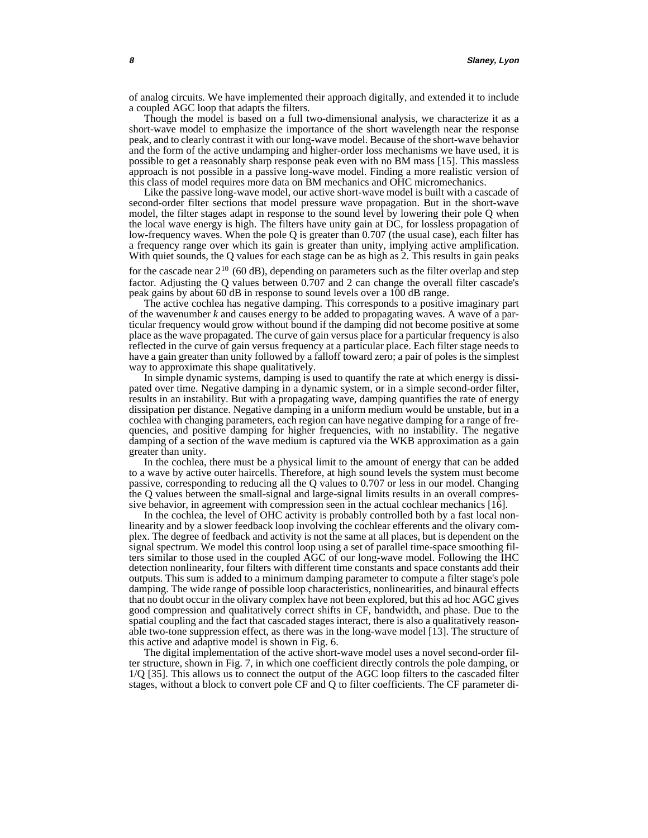of analog circuits. We have implemented their approach digitally, and extended it to include a coupled AGC loop that adapts the filters.

Though the model is based on a full two-dimensional analysis, we characterize it as a short-wave model to emphasize the importance of the short wavelength near the response peak, and to clearly contrast it with our long-wave model. Because of the short-wave behavior and the form of the active undamping and higher-order loss mechanisms we have used, it is possible to get a reasonably sharp response peak even with no BM mass [\[15\]](#page-20-0). This massless approach is not possible in a passive long-wave model. Finding a more realistic version of this class of model requires more data on BM mechanics and OHC micromechanics.

Like the passive long-wave model, our active short-wave model is built with a cascade of second-order filter sections that model pressure wave propagation. But in the short-wave model, the filter stages adapt in response to the sound level by lowering their pole Q when the local wave energy is high. The filters have unity gain at DC, for lossless propagation of low-frequency waves. When the pole Q is greater than 0.707 (the usual case), each filter has a frequency range over which its gain is greater than unity, implying active amplification. With quiet sounds, the Q values for each stage can be as high as 2. This results in gain peaks

for the cascade near  $2^{10}$  (60 dB), depending on parameters such as the filter overlap and step factor. Adjusting the Q values between 0.707 and 2 can change the overall filter cascade's peak gains by about 60 dB in response to sound levels over a 100 dB range.

The active cochlea has negative damping. This corresponds to a positive imaginary part of the wavenumber *k* and causes energy to be added to propagating waves. A wave of a particular frequency would grow without bound if the damping did not become positive at some place as the wave propagated. The curve of gain versus place for a particular frequency is also reflected in the curve of gain versus frequency at a particular place. Each filter stage needs to have a gain greater than unity followed by a falloff toward zero; a pair of poles is the simplest way to approximate this shape qualitatively.

In simple dynamic systems, damping is used to quantify the rate at which energy is dissipated over time. Negative damping in a dynamic system, or in a simple second-order filter, results in an instability. But with a propagating wave, damping quantifies the rate of energy dissipation per distance. Negative damping in a uniform medium would be unstable, but in a cochlea with changing parameters, each region can have negative damping for a range of frequencies, and positive damping for higher frequencies, with no instability. The negative damping of a section of the wave medium is captured via the WKB approximation as a gain greater than unity.

In the cochlea, there must be a physical limit to the amount of energy that can be added to a wave by active outer haircells. Therefore, at high sound levels the system must become passive, corresponding to reducing all the Q values to 0.707 or less in our model. Changing the Q values between the small-signal and large-signal limits results in an overall compressive behavior, in agreement with compression seen in the actual cochlear mechanics [\[16\].](#page-20-0)

In the cochlea, the level of OHC activity is probably controlled both by a fast local nonlinearity and by a slower feedback loop involving the cochlear efferents and the olivary complex. The degree of feedback and activity is not the same at all places, but is dependent on the signal spectrum. We model this control loop using a set of parallel time-space smoothing filters similar to those used in the coupled AGC of our long-wave model. Following the IHC detection nonlinearity, four filters with different time constants and space constants add their outputs. This sum is added to a minimum damping parameter to compute a filter stage's pole damping. The wide range of possible loop characteristics, nonlinearities, and binaural effects that no doubt occur in the olivary complex have not been explored, but this ad hoc AGC gives good compression and qualitatively correct shifts in CF, bandwidth, and phase. Due to the spatial coupling and the fact that cascaded stages interact, there is also a qualitatively reasonable two-tone suppression effect, as there was in the long-wave model [\[13\].](#page-20-0) The structure of this active and adaptive model is shown in [Fig. 6](#page-8-0).

The digital implementation of the active short-wave model uses a novel second-order filter structure, shown in [Fig. 7,](#page-8-0) in which one coefficient directly controls the pole damping, or 1/Q [\[35\]](#page-21-0). This allows us to connect the output of the AGC loop filters to the cascaded filter stages, without a block to convert pole CF and Q to filter coefficients. The CF parameter di-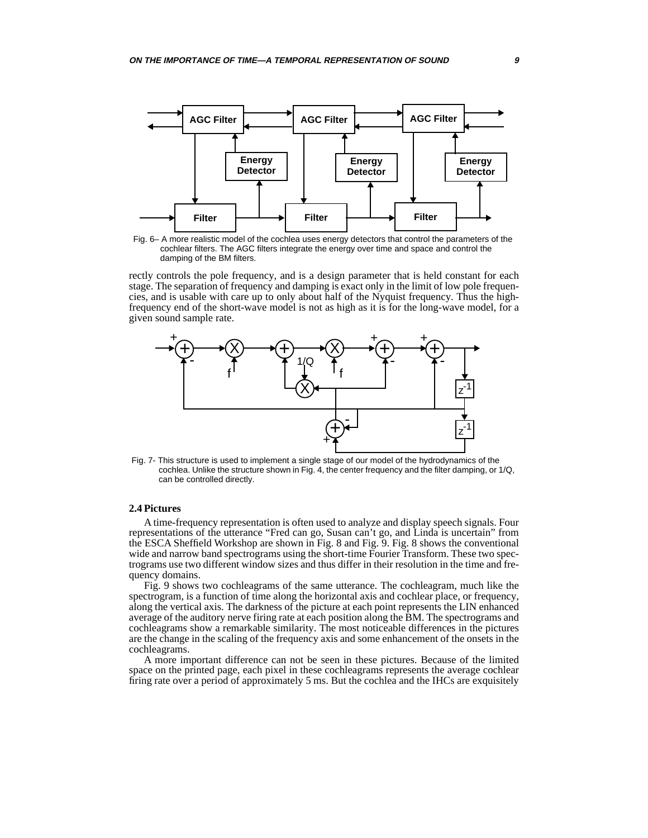<span id="page-8-0"></span>

Fig. 6– A more realistic model of the cochlea uses energy detectors that control the parameters of the cochlear filters. The AGC filters integrate the energy over time and space and control the damping of the BM filters.

rectly controls the pole frequency, and is a design parameter that is held constant for each stage. The separation of frequency and damping is exact only in the limit of low pole frequencies, and is usable with care up to only about half of the Nyquist frequency. Thus the highfrequency end of the short-wave model is not as high as it is for the long-wave model, for a given sound sample rate.



Fig. 7- This structure is used to implement a single stage of our model of the hydrodynamics of the cochlea. Unlike the structure shown in [Fig. 4](#page-5-0), the center frequency and the filter damping, or 1/Q, can be controlled directly.

## **2.4 Pictures**

A time-frequency representation is often used to analyze and display speech signals. Four representations of the utterance "Fred can go, Susan can't go, and Linda is uncertain" from the ESCA Sheffield Workshop are shown in [Fig. 8](#page-9-0) and [Fig. 9.](#page-10-0) [Fig. 8](#page-9-0) shows the conventional wide and narrow band spectrograms using the short-time Fourier Transform. These two spectrograms use two different window sizes and thus differ in their resolution in the time and frequency domains.

[Fig. 9](#page-10-0) shows two cochleagrams of the same utterance. The cochleagram, much like the spectrogram, is a function of time along the horizontal axis and cochlear place, or frequency, along the vertical axis. The darkness of the picture at each point represents the LIN enhanced average of the auditory nerve firing rate at each position along the BM. The spectrograms and cochleagrams show a remarkable similarity. The most noticeable differences in the pictures are the change in the scaling of the frequency axis and some enhancement of the onsets in the cochleagrams.

A more important difference can not be seen in these pictures. Because of the limited space on the printed page, each pixel in these cochleagrams represents the average cochlear firing rate over a period of approximately 5 ms. But the cochlea and the IHCs are exquisitely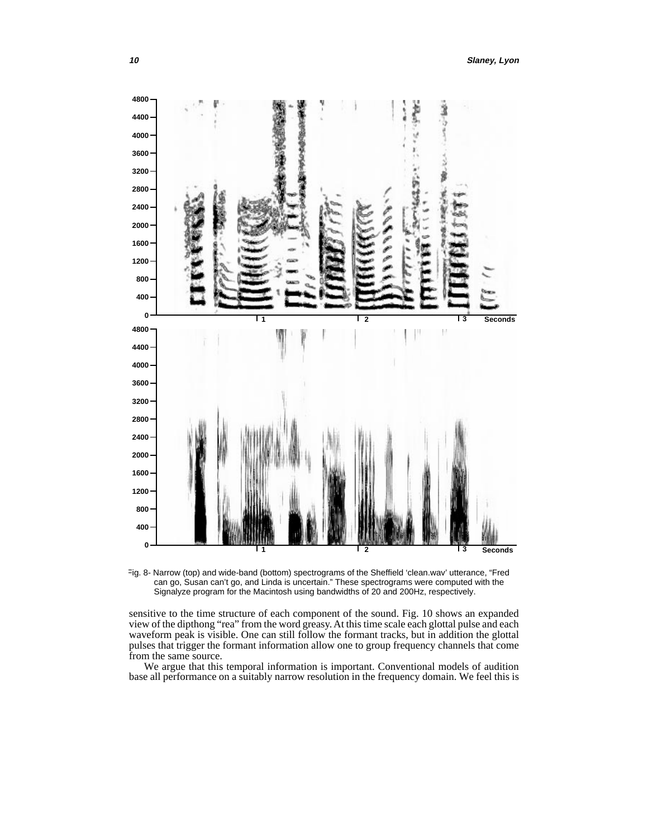<span id="page-9-0"></span>

Fig. 8- Narrow (top) and wide-band (bottom) spectrograms of the Sheffield 'clean.wav' utterance, "Fred can go, Susan can't go, and Linda is uncertain." These spectrograms were computed with the Signalyze program for the Macintosh using bandwidths of 20 and 200Hz, respectively.

sensitive to the time structure of each component of the sound. [Fig. 10](#page-11-0) shows an expanded view of the dipthong "rea" from the word greasy. At this time scale each glottal pulse and each waveform peak is visible. One can still follow the formant tracks, but in addition the glottal pulses that trigger the formant information allow one to group frequency channels that come from the same source.

We argue that this temporal information is important. Conventional models of audition base all performance on a suitably narrow resolution in the frequency domain. We feel this is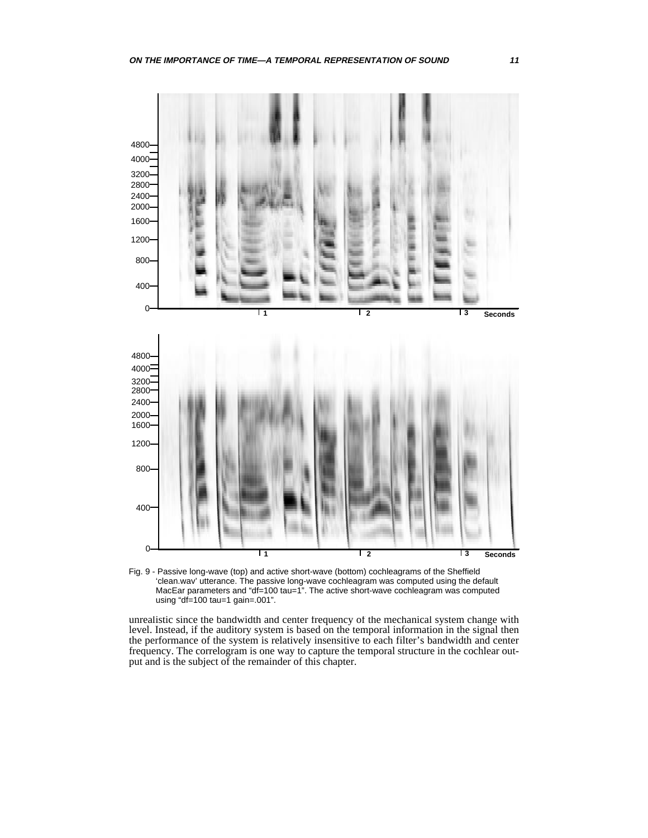<span id="page-10-0"></span>

Fig. 9 - Passive long-wave (top) and active short-wave (bottom) cochleagrams of the Sheffield 'clean.wav' utterance. The passive long-wave cochleagram was computed using the default MacEar parameters and "df=100 tau=1". The active short-wave cochleagram was computed using "df=100 tau=1 gain=.001".

unrealistic since the bandwidth and center frequency of the mechanical system change with level. Instead, if the auditory system is based on the temporal information in the signal then the performance of the system is relatively insensitive to each filter's bandwidth and center frequency. The correlogram is one way to capture the temporal structure in the cochlear output and is the subject of the remainder of this chapter.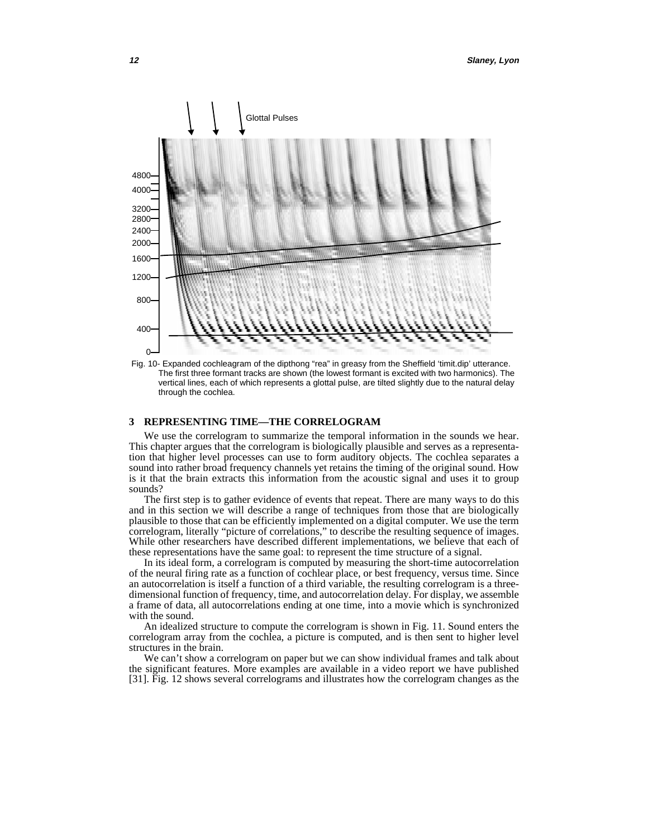<span id="page-11-0"></span>

Fig. 10- Expanded cochleagram of the dipthong "rea" in greasy from the Sheffield 'timit.dip' utterance. The first three formant tracks are shown (the lowest formant is excited with two harmonics). The vertical lines, each of which represents a glottal pulse, are tilted slightly due to the natural delay through the cochlea.

## **3 REPRESENTING TIME—THE CORRELOGRAM**

We use the correlogram to summarize the temporal information in the sounds we hear. This chapter argues that the correlogram is biologically plausible and serves as a representation that higher level processes can use to form auditory objects. The cochlea separates a sound into rather broad frequency channels yet retains the timing of the original sound. How is it that the brain extracts this information from the acoustic signal and uses it to group sounds?

The first step is to gather evidence of events that repeat. There are many ways to do this and in this section we will describe a range of techniques from those that are biologically plausible to those that can be efficiently implemented on a digital computer. We use the term correlogram, literally "picture of correlations," to describe the resulting sequence of images. While other researchers have described different implementations, we believe that each of these representations have the same goal: to represent the time structure of a signal.

In its ideal form, a correlogram is computed by measuring the short-time autocorrelation of the neural firing rate as a function of cochlear place, or best frequency, versus time. Since an autocorrelation is itself a function of a third variable, the resulting correlogram is a threedimensional function of frequency, time, and autocorrelation delay. For display, we assemble a frame of data, all autocorrelations ending at one time, into a movie which is synchronized with the sound.

An idealized structure to compute the correlogram is shown in [Fig. 11](#page-12-0). Sound enters the correlogram array from the cochlea, a picture is computed, and is then sent to higher level structures in the brain.

We can't show a correlogram on paper but we can show individual frames and talk about the significant features. More examples are available in a video report we have published [\[31\].](#page-21-0) [Fig. 12](#page-12-0) shows several correlograms and illustrates how the correlogram changes as the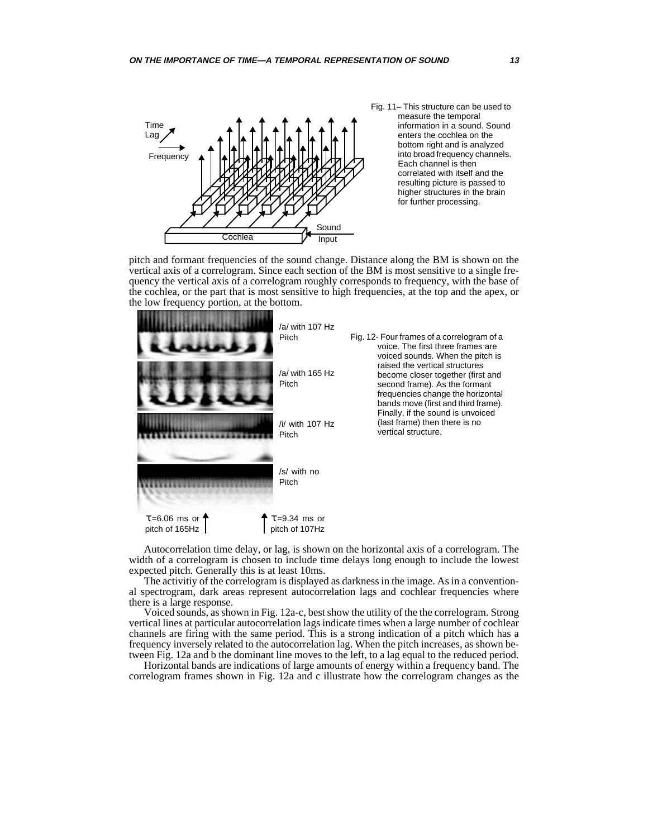<span id="page-12-0"></span>

pitch and formant frequencies of the sound change. Distance along the BM is shown on the vertical axis of a correlogram. Since each section of the BM is most sensitive to a single frequency the vertical axis of a correlogram roughly corresponds to frequency, with the base of the cochlea, or the part that is most sensitive to high frequencies, at the top and the apex, or the low frequency portion, at the bottom.



Autocorrelation time delay, or lag, is shown on the horizontal axis of a correlogram. The width of a correlogram is chosen to include time delays long enough to include the lowest expected pitch. Generally this is at least 10ms.

The activitiy of the correlogram is displayed as darkness in the image. As in a conventional spectrogram, dark areas represent autocorrelation lags and cochlear frequencies where there is a large response.

Voiced sounds, as shown in Fig. 12a-c, best show the utility of the the correlogram. Strong vertical lines at particular autocorrelation lags indicate times when a large number of cochlear channels are firing with the same period. This is a strong indication of a pitch which has a frequency inversely related to the autocorrelation lag. When the pitch increases, as shown between Fig. 12a and b the dominant line moves to the left, to a lag equal to the reduced period.

Horizontal bands are indications of large amounts of energy within a frequency band. The correlogram frames shown in Fig. 12a and c illustrate how the correlogram changes as the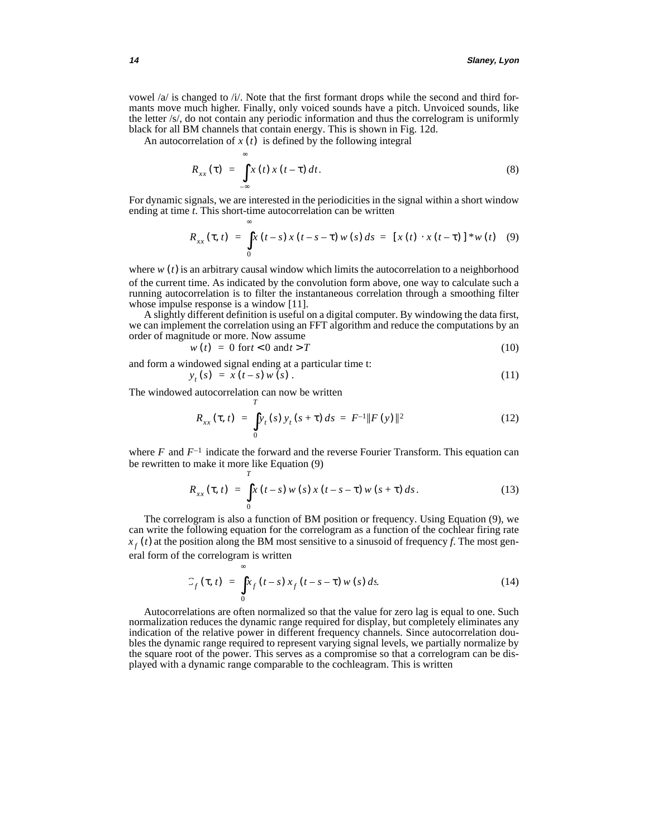vowel  $/a$  is changed to  $\pi/2$ . Note that the first formant drops while the second and third formants move much higher. Finally, only voiced sounds have a pitch. Unvoiced sounds, like the letter /s/, do not contain any periodic information and thus the correlogram is uniformly black for all BM channels that contain energy. This is shown in [Fig. 12d](#page-12-0).

An autocorrelation of  $x(t)$  is defined by the following integral

$$
R_{xx}(\tau) = \int_{-\infty}^{\infty} x(t) x(t-\tau) dt.
$$
 (8)

For dynamic signals, we are interested in the periodicities in the signal within a short window ending at time *t*. This short-time autocorrelation can be written

$$
R_{xx}(\tau, t) = \int_{0}^{\infty} x(t-s) x(t-s-\tau) w(s) ds = [x(t) \cdot x(t-\tau)] * w(t) \quad (9)
$$

where  $w(t)$  is an arbitrary causal window which limits the autocorrelation to a neighborhood of the current time. As indicated by the convolution form above, one way to calculate such a running autocorrelation is to filter the instantaneous correlation through a smoothing filter whose impulse response is a window [\[11\]](#page-20-0).

A slightly different definition is useful on a digital computer. By windowing the data first, we can implement the correlation using an FFT algorithm and reduce the computations by an order of magnitude or more. Now assume

$$
w(t) = 0 \text{ for } t < 0 \text{ and } t > T \tag{10}
$$

and form a windowed signal ending at a particular time t:  
\n
$$
y_t(s) = x(t-s) w(s).
$$
\n(11)

The windowed autocorrelation can now be written

*T*

$$
R_{xx}(\tau, t) = \int_0^t y_t(s) y_t(s+\tau) ds = F^{-1} ||F(y)||^2
$$
 (12)

where  $F$  and  $F^{-1}$  indicate the forward and the reverse Fourier Transform. This equation can be rewritten to make it more like Equation (9)

$$
R_{xx}(\tau, t) = \int_{0}^{T} x(t-s) w(s) x(t-s-\tau) w(s+\tau) ds.
$$
 (13)

The correlogram is also a function of BM position or frequency. Using Equation (9), we can write the following equation for the correlogram as a function of the cochlear firing rate  $x_f(t)$  at the position along the BM most sensitive to a sinusoid of frequency *f*. The most general form of the correlogram is written

$$
C_f(\tau, t) = \int_0^\infty x_f(t-s) x_f(t-s-\tau) w(s) ds.
$$
 (14)

Autocorrelations are often normalized so that the value for zero lag is equal to one. Such normalization reduces the dynamic range required for display, but completely eliminates any indication of the relative power in different frequency channels. Since autocorrelation doubles the dynamic range required to represent varying signal levels, we partially normalize by the square root of the power. This serves as a compromise so that a correlogram can be displayed with a dynamic range comparable to the cochleagram. This is written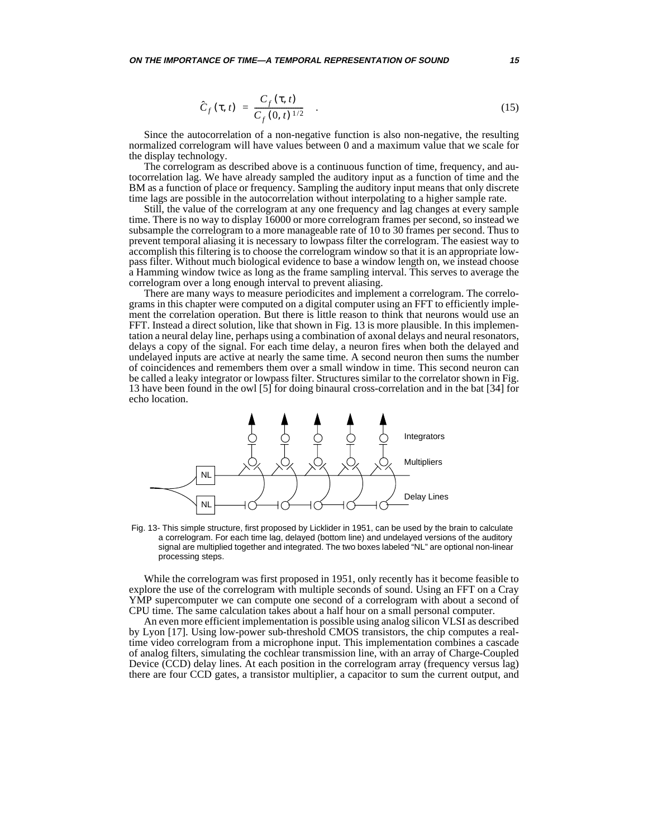<span id="page-14-0"></span>**ON THE IMPORTANCE OF TIME—A TEMPORAL REPRESENTATION OF SOUND 15**

$$
\hat{C}_f(\tau, t) = \frac{C_f(\tau, t)}{C_f(0, t)^{1/2}} \quad . \tag{15}
$$

Since the autocorrelation of a non-negative function is also non-negative, the resulting normalized correlogram will have values between 0 and a maximum value that we scale for the display technology.

The correlogram as described above is a continuous function of time, frequency, and autocorrelation lag. We have already sampled the auditory input as a function of time and the BM as a function of place or frequency. Sampling the auditory input means that only discrete time lags are possible in the autocorrelation without interpolating to a higher sample rate.

Still, the value of the correlogram at any one frequency and lag changes at every sample time. There is no way to display 16000 or more correlogram frames per second, so instead we subsample the correlogram to a more manageable rate of 10 to 30 frames per second. Thus to prevent temporal aliasing it is necessary to lowpass filter the correlogram. The easiest way to accomplish this filtering is to choose the correlogram window so that it is an appropriate lowpass filter. Without much biological evidence to base a window length on, we instead choose a Hamming window twice as long as the frame sampling interval. This serves to average the correlogram over a long enough interval to prevent aliasing.

There are many ways to measure periodicites and implement a correlogram. The correlograms in this chapter were computed on a digital computer using an FFT to efficiently implement the correlation operation. But there is little reason to think that neurons would use an FFT. Instead a direct solution, like that shown in Fig. 13 is more plausible. In this implementation a neural delay line, perhaps using a combination of axonal delays and neural resonators, delays a copy of the signal. For each time delay, a neuron fires when both the delayed and undelayed inputs are active at nearly the same time. A second neuron then sums the number of coincidences and remembers them over a small window in time. This second neuron can be called a leaky integrator or lowpass filter. Structures similar to the correlator shown in Fig. 13 have been found in the owl [\[5\]](#page-20-0) for doing binaural cross-correlation and in the bat [\[34\]](#page-21-0) for echo location.



Fig. 13- This simple structure, first proposed by Licklider in 1951, can be used by the brain to calculate a correlogram. For each time lag, delayed (bottom line) and undelayed versions of the auditory signal are multiplied together and integrated. The two boxes labeled "NL" are optional non-linear processing steps.

While the correlogram was first proposed in 1951, only recently has it become feasible to explore the use of the correlogram with multiple seconds of sound. Using an FFT on a Cray YMP supercomputer we can compute one second of a correlogram with about a second of CPU time. The same calculation takes about a half hour on a small personal computer.

An even more efficient implementation is possible using analog silicon VLSI as described by Lyon [\[17\]](#page-20-0). Using low-power sub-threshold CMOS transistors, the chip computes a realtime video correlogram from a microphone input. This implementation combines a cascade of analog filters, simulating the cochlear transmission line, with an array of Charge-Coupled Device (CCD) delay lines. At each position in the correlogram array (frequency versus lag) there are four CCD gates, a transistor multiplier, a capacitor to sum the current output, and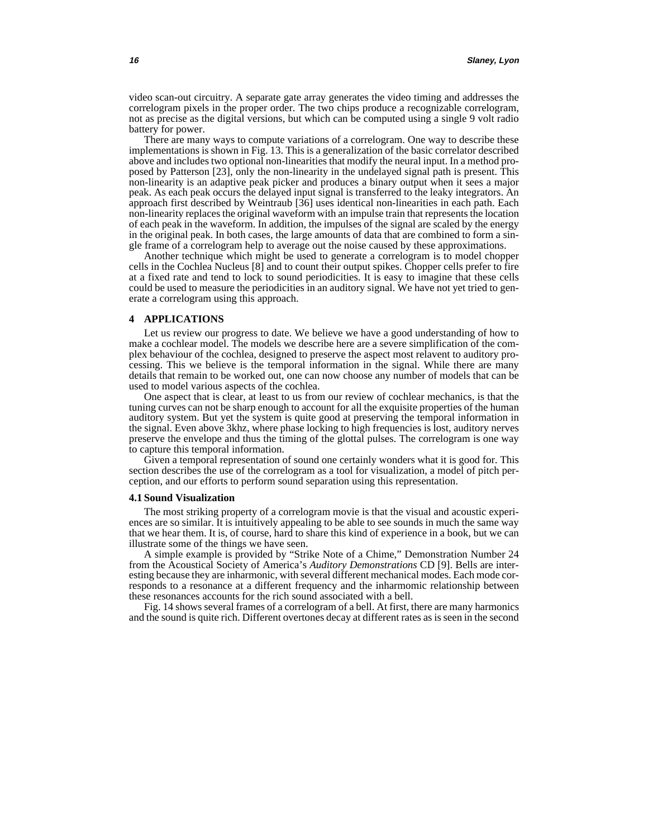video scan-out circuitry. A separate gate array generates the video timing and addresses the correlogram pixels in the proper order. The two chips produce a recognizable correlogram, not as precise as the digital versions, but which can be computed using a single 9 volt radio battery for power.

There are many ways to compute variations of a correlogram. One way to describe these implementations is shown in [Fig. 13](#page-14-0). This is a generalization of the basic correlator described above and includes two optional non-linearities that modify the neural input. In a method proposed by Patterson [\[23\],](#page-21-0) only the non-linearity in the undelayed signal path is present. This non-linearity is an adaptive peak picker and produces a binary output when it sees a major peak. As each peak occurs the delayed input signal is transferred to the leaky integrators. An approach first described by Weintraub [\[36\]](#page-21-0) uses identical non-linearities in each path. Each non-linearity replaces the original waveform with an impulse train that represents the location of each peak in the waveform. In addition, the impulses of the signal are scaled by the energy in the original peak. In both cases, the large amounts of data that are combined to form a single frame of a correlogram help to average out the noise caused by these approximations.

Another technique which might be used to generate a correlogram is to model chopper cells in the Cochlea Nucleus [\[8\]](#page-20-0) and to count their output spikes. Chopper cells prefer to fire at a fixed rate and tend to lock to sound periodicities. It is easy to imagine that these cells could be used to measure the periodicities in an auditory signal. We have not yet tried to generate a correlogram using this approach.

## **4 APPLICATIONS**

Let us review our progress to date. We believe we have a good understanding of how to make a cochlear model. The models we describe here are a severe simplification of the complex behaviour of the cochlea, designed to preserve the aspect most relavent to auditory processing. This we believe is the temporal information in the signal. While there are many details that remain to be worked out, one can now choose any number of models that can be used to model various aspects of the cochlea.

One aspect that is clear, at least to us from our review of cochlear mechanics, is that the tuning curves can not be sharp enough to account for all the exquisite properties of the human auditory system. But yet the system is quite good at preserving the temporal information in the signal. Even above 3khz, where phase locking to high frequencies is lost, auditory nerves preserve the envelope and thus the timing of the glottal pulses. The correlogram is one way to capture this temporal information.

Given a temporal representation of sound one certainly wonders what it is good for. This section describes the use of the correlogram as a tool for visualization, a model of pitch perception, and our efforts to perform sound separation using this representation.

#### **4.1 Sound Visualization**

The most striking property of a correlogram movie is that the visual and acoustic experiences are so similar. It is intuitively appealing to be able to see sounds in much the same way that we hear them. It is, of course, hard to share this kind of experience in a book, but we can illustrate some of the things we have seen.

A simple example is provided by "Strike Note of a Chime," Demonstration Number 24 from the Acoustical Society of America's *Auditory Demonstrations* CD [\[9\]](#page-20-0). Bells are interesting because they are inharmonic, with several different mechanical modes. Each mode corresponds to a resonance at a different frequency and the inharmomic relationship between these resonances accounts for the rich sound associated with a bell.

[Fig. 14](#page-16-0) shows several frames of a correlogram of a bell. At first, there are many harmonics and the sound is quite rich. Different overtones decay at different rates as is seen in the second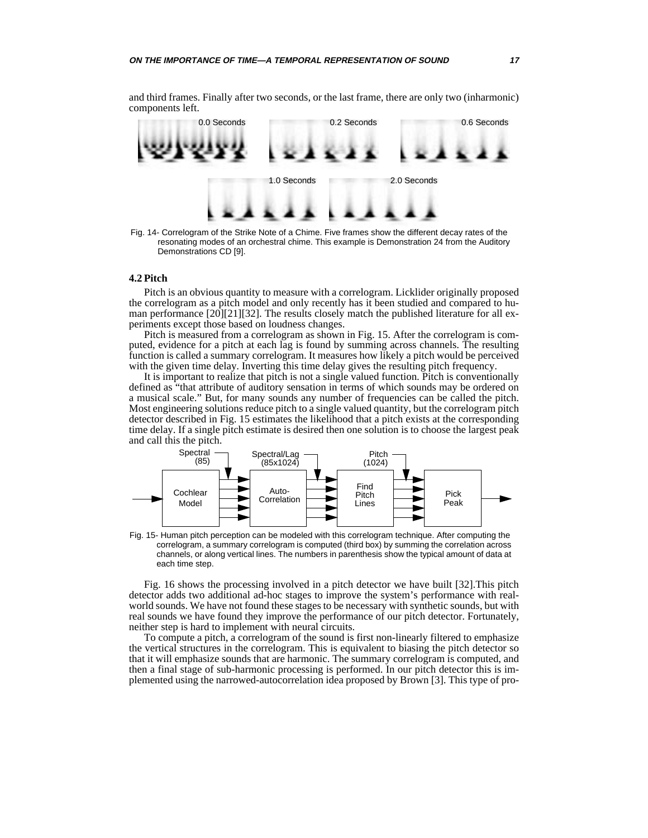components left. 0.0 Seconds 0.2 Seconds 0.6 Seconds

<span id="page-16-0"></span>and third frames. Finally after two seconds, or the last frame, there are only two (inharmonic)



Fig. 14- Correlogram of the Strike Note of a Chime. Five frames show the different decay rates of the resonating modes of an orchestral chime. This example is Demonstration 24 from the Auditory Demonstrations CD [\[9\].](#page-20-0)

# **4.2 Pitch**

Pitch is an obvious quantity to measure with a correlogram. Licklider originally proposed the correlogram as a pitch model and only recently has it been studied and compared to human performance [\[20\]\[21\]](#page-20-0)[\[32\]](#page-21-0). The results closely match the published literature for all experiments except those based on loudness changes.

Pitch is measured from a correlogram as shown in Fig. 15. After the correlogram is computed, evidence for a pitch at each lag is found by summing across channels. The resulting function is called a summary correlogram. It measures how likely a pitch would be perceived with the given time delay. Inverting this time delay gives the resulting pitch frequency.

It is important to realize that pitch is not a single valued function. Pitch is conventionally defined as "that attribute of auditory sensation in terms of which sounds may be ordered on a musical scale." But, for many sounds any number of frequencies can be called the pitch. Most engineering solutions reduce pitch to a single valued quantity, but the correlogram pitch detector described in Fig. 15 estimates the likelihood that a pitch exists at the corresponding time delay. If a single pitch estimate is desired then one solution is to choose the largest peak and call this the pitch.



Fig. 15- Human pitch perception can be modeled with this correlogram technique. After computing the correlogram, a summary correlogram is computed (third box) by summing the correlation across channels, or along vertical lines. The numbers in parenthesis show the typical amount of data at each time step.

[Fig. 16](#page-17-0) shows the processing involved in a pitch detector we have built [\[32\]](#page-21-0).This pitch detector adds two additional ad-hoc stages to improve the system's performance with realworld sounds. We have not found these stages to be necessary with synthetic sounds, but with real sounds we have found they improve the performance of our pitch detector. Fortunately, neither step is hard to implement with neural circuits.

To compute a pitch, a correlogram of the sound is first non-linearly filtered to emphasize the vertical structures in the correlogram. This is equivalent to biasing the pitch detector so that it will emphasize sounds that are harmonic. The summary correlogram is computed, and then a final stage of sub-harmonic processing is performed. In our pitch detector this is implemented using the narrowed-autocorrelation idea proposed by Brown [\[3\]](#page-20-0). This type of pro-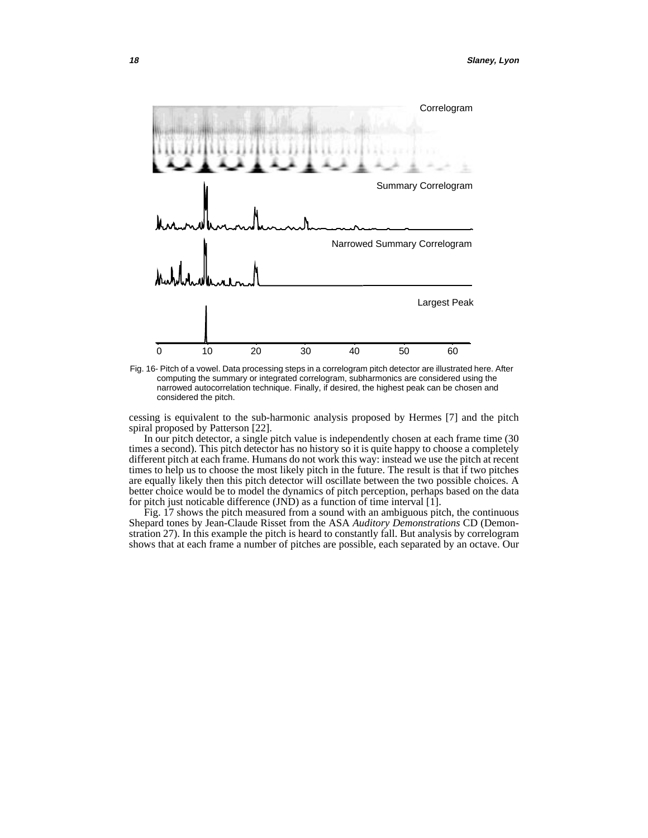<span id="page-17-0"></span>

Fig. 16- Pitch of a vowel. Data processing steps in a correlogram pitch detector are illustrated here. After computing the summary or integrated correlogram, subharmonics are considered using the narrowed autocorrelation technique. Finally, if desired, the highest peak can be chosen and considered the pitch.

cessing is equivalent to the sub-harmonic analysis proposed by Hermes [\[7\]](#page-20-0) and the pitch spiral proposed by Patterson [\[22\].](#page-20-0)

In our pitch detector, a single pitch value is independently chosen at each frame time (30 times a second). This pitch detector has no history so it is quite happy to choose a completely different pitch at each frame. Humans do not work this way: instead we use the pitch at recent times to help us to choose the most likely pitch in the future. The result is that if two pitches are equally likely then this pitch detector will oscillate between the two possible choices. A better choice would be to model the dynamics of pitch perception, perhaps based on the data for pitch just noticable difference (JND) as a function of time interval [\[1\].](#page-20-0)

[Fig. 17](#page-18-0) shows the pitch measured from a sound with an ambiguous pitch, the continuous Shepard tones by Jean-Claude Risset from the ASA *Auditory Demonstrations* CD (Demonstration 27). In this example the pitch is heard to constantly fall. But analysis by correlogram shows that at each frame a number of pitches are possible, each separated by an octave. Our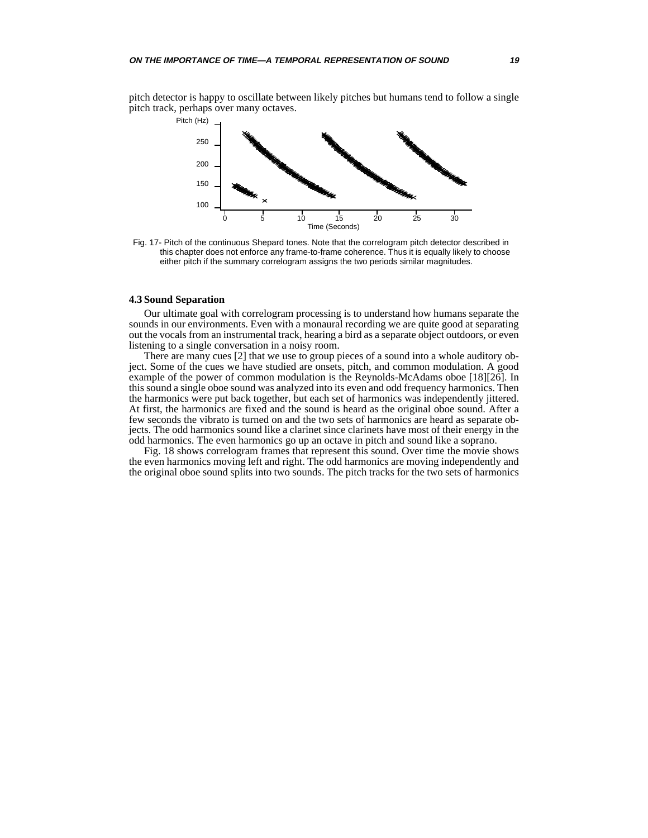<span id="page-18-0"></span>pitch detector is happy to oscillate between likely pitches but humans tend to follow a single pitch track, perhaps over many octaves.



Fig. 17- Pitch of the continuous Shepard tones. Note that the correlogram pitch detector described in this chapter does not enforce any frame-to-frame coherence. Thus it is equally likely to choose either pitch if the summary correlogram assigns the two periods similar magnitudes.

## **4.3 Sound Separation**

Our ultimate goal with correlogram processing is to understand how humans separate the sounds in our environments. Even with a monaural recording we are quite good at separating out the vocals from an instrumental track, hearing a bird as a separate object outdoors, or even listening to a single conversation in a noisy room.

There are many cues [\[2\]](#page-20-0) that we use to group pieces of a sound into a whole auditory object. Some of the cues we have studied are onsets, pitch, and common modulation. A good example of the power of common modulation is the Reynolds-McAdams oboe [\[18\]](#page-20-0)[\[26\].](#page-21-0) In this sound a single oboe sound was analyzed into its even and odd frequency harmonics. Then the harmonics were put back together, but each set of harmonics was independently jittered. At first, the harmonics are fixed and the sound is heard as the original oboe sound. After a few seconds the vibrato is turned on and the two sets of harmonics are heard as separate objects. The odd harmonics sound like a clarinet since clarinets have most of their energy in the odd harmonics. The even harmonics go up an octave in pitch and sound like a soprano.

[Fig. 18](#page-19-0) shows correlogram frames that represent this sound. Over time the movie shows the even harmonics moving left and right. The odd harmonics are moving independently and the original oboe sound splits into two sounds. The pitch tracks for the two sets of harmonics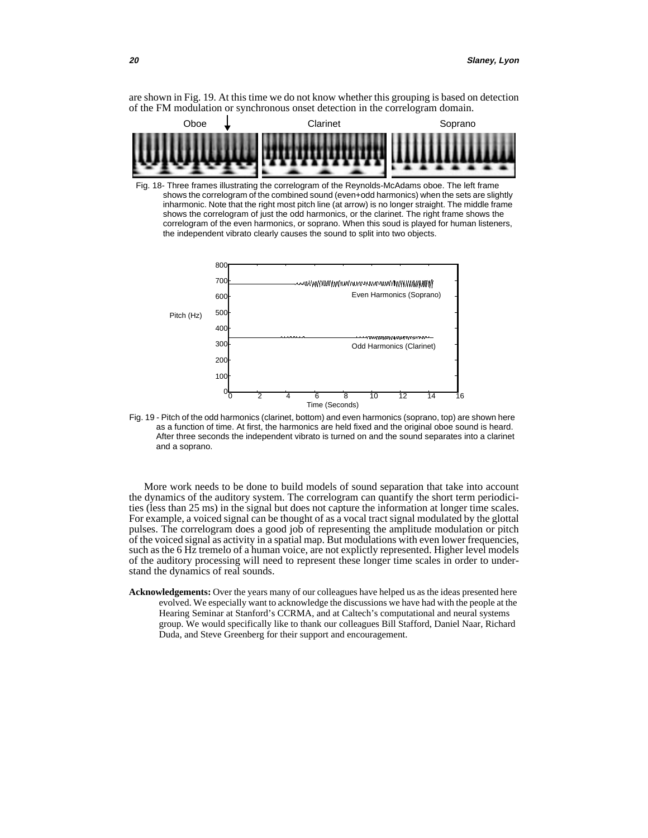<span id="page-19-0"></span>are shown in Fig. 19. At this time we do not know whether this grouping is based on detection of the FM modulation or synchronous onset detection in the correlogram domain.



Fig. 18- Three frames illustrating the correlogram of the Reynolds-McAdams oboe. The left frame shows the correlogram of the combined sound (even+odd harmonics) when the sets are slightly inharmonic. Note that the right most pitch line (at arrow) is no longer straight. The middle frame shows the correlogram of just the odd harmonics, or the clarinet. The right frame shows the correlogram of the even harmonics, or soprano. When this soud is played for human listeners, the independent vibrato clearly causes the sound to split into two objects.



Fig. 19 - Pitch of the odd harmonics (clarinet, bottom) and even harmonics (soprano, top) are shown here as a function of time. At first, the harmonics are held fixed and the original oboe sound is heard. After three seconds the independent vibrato is turned on and the sound separates into a clarinet and a soprano.

More work needs to be done to build models of sound separation that take into account the dynamics of the auditory system. The correlogram can quantify the short term periodicities (less than 25 ms) in the signal but does not capture the information at longer time scales. For example, a voiced signal can be thought of as a vocal tract signal modulated by the glottal pulses. The correlogram does a good job of representing the amplitude modulation or pitch of the voiced signal as activity in a spatial map. But modulations with even lower frequencies, such as the 6 Hz tremelo of a human voice, are not explictly represented. Higher level models of the auditory processing will need to represent these longer time scales in order to understand the dynamics of real sounds.

**Acknowledgements:** Over the years many of our colleagues have helped us as the ideas presented here evolved. We especially want to acknowledge the discussions we have had with the people at the Hearing Seminar at Stanford's CCRMA, and at Caltech's computational and neural systems group. We would specifically like to thank our colleagues Bill Stafford, Daniel Naar, Richard Duda, and Steve Greenberg for their support and encouragement.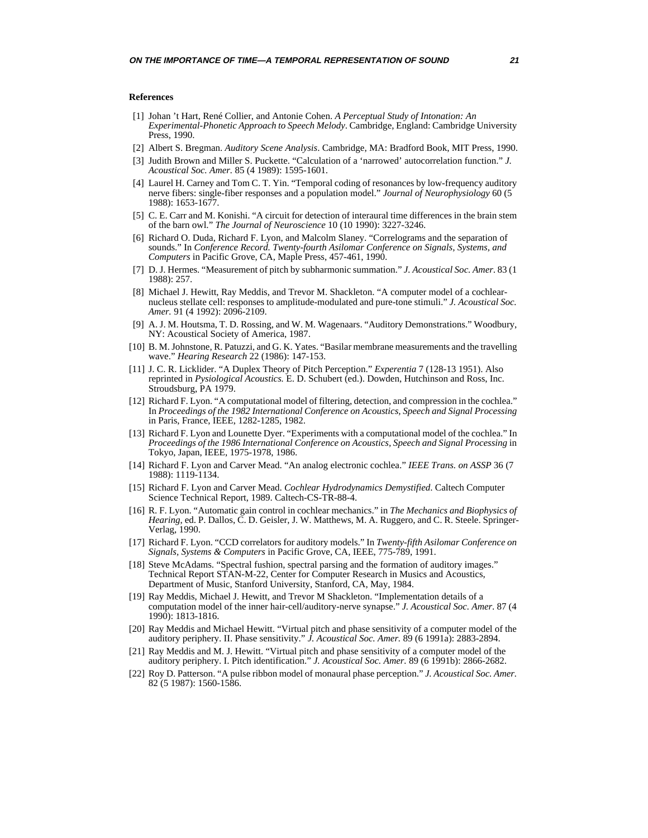#### <span id="page-20-0"></span>**References**

- [1] Johan 't Hart, René Collier, and Antonie Cohen. *A Perceptual Study of Intonation: An Experimental-Phonetic Approach to Speech Melody*. Cambridge, England: Cambridge University Press, 1990.
- [2] Albert S. Bregman. *Auditory Scene Analysis*. Cambridge, MA: Bradford Book, MIT Press, 1990.
- [3] Judith Brown and Miller S. Puckette. "Calculation of a 'narrowed' autocorrelation function." *J. Acoustical Soc. Amer.* 85 (4 1989): 1595-1601.
- [4] Laurel H. Carney and Tom C. T. Yin. "Temporal coding of resonances by low-frequency auditory nerve fibers: single-fiber responses and a population model." *Journal of Neurophysiology* 60 (5 1988): 1653-1677.
- [5] C. E. Carr and M. Konishi. "A circuit for detection of interaural time differences in the brain stem of the barn owl." *The Journal of Neuroscience* 10 (10 1990): 3227-3246.
- [6] Richard O. Duda, Richard F. Lyon, and Malcolm Slaney. "Correlograms and the separation of sounds." In *Conference Record. Twenty-fourth Asilomar Conference on Signals, Systems, and Computers* in Pacific Grove, CA, Maple Press, 457-461, 1990.
- [7] D. J. Hermes. "Measurement of pitch by subharmonic summation." *J. Acoustical Soc. Amer*. 83 (1 1988): 257.
- [8] Michael J. Hewitt, Ray Meddis, and Trevor M. Shackleton. "A computer model of a cochlearnucleus stellate cell: responses to amplitude-modulated and pure-tone stimuli." *J. Acoustical Soc. Amer.* 91 (4 1992): 2096-2109.
- [9] A. J. M. Houtsma, T. D. Rossing, and W. M. Wagenaars. "Auditory Demonstrations." Woodbury, NY: Acoustical Society of America, 1987.
- [10] B. M. Johnstone, R. Patuzzi, and G. K. Yates. "Basilar membrane measurements and the travelling wave." *Hearing Research* 22 (1986): 147-153.
- [11] J. C. R. Licklider. "A Duplex Theory of Pitch Perception." *Experentia* 7 (128-13 1951). Also reprinted in *Pysiological Acoustics.* E. D. Schubert (ed.). Dowden, Hutchinson and Ross, Inc. Stroudsburg, PA 1979.
- [12] Richard F. Lyon. "A computational model of filtering, detection, and compression in the cochlea." In *Proceedings of the 1982 International Conference on Acoustics, Speech and Signal Processing* in Paris, France, IEEE, 1282-1285, 1982.
- [13] Richard F. Lyon and Lounette Dyer. "Experiments with a computational model of the cochlea." In *Proceedings of the 1986 International Conference on Acoustics, Speech and Signal Processing* in Tokyo, Japan, IEEE, 1975-1978, 1986.
- [14] Richard F. Lyon and Carver Mead. "An analog electronic cochlea." *IEEE Trans. on ASSP* 36 (7 1988): 1119-1134.
- [15] Richard F. Lyon and Carver Mead. *Cochlear Hydrodynamics Demystified*. Caltech Computer Science Technical Report, 1989. Caltech-CS-TR-88-4.
- [16] R. F. Lyon. "Automatic gain control in cochlear mechanics." in *The Mechanics and Biophysics of Hearing*, ed. P. Dallos, C. D. Geisler, J. W. Matthews, M. A. Ruggero, and C. R. Steele. Springer-Verlag, 1990.
- [17] Richard F. Lyon. "CCD correlators for auditory models." In *Twenty-fifth Asilomar Conference on Signals, Systems & Computers* in Pacific Grove, CA, IEEE, 775-789, 1991.
- [18] Steve McAdams. "Spectral fushion, spectral parsing and the formation of auditory images." Technical Report STAN-M-22, Center for Computer Research in Musics and Acoustics, Department of Music, Stanford University, Stanford, CA, May, 1984.
- [19] Ray Meddis, Michael J. Hewitt, and Trevor M Shackleton. "Implementation details of a computation model of the inner hair-cell/auditory-nerve synapse." *J. Acoustical Soc. Amer*. 87 (4 1990): 1813-1816.
- [20] Ray Meddis and Michael Hewitt. "Virtual pitch and phase sensitivity of a computer model of the auditory periphery. II. Phase sensitivity." *J. Acoustical Soc. Amer.* 89 (6 1991a): 2883-2894.
- [21] Ray Meddis and M. J. Hewitt. "Virtual pitch and phase sensitivity of a computer model of the auditory periphery. I. Pitch identification." *J. Acoustical Soc. Amer.* 89 (6 1991b): 2866-2682.
- [22] Roy D. Patterson. "A pulse ribbon model of monaural phase perception." *J. Acoustical Soc. Amer.* 82 (5 1987): 1560-1586.